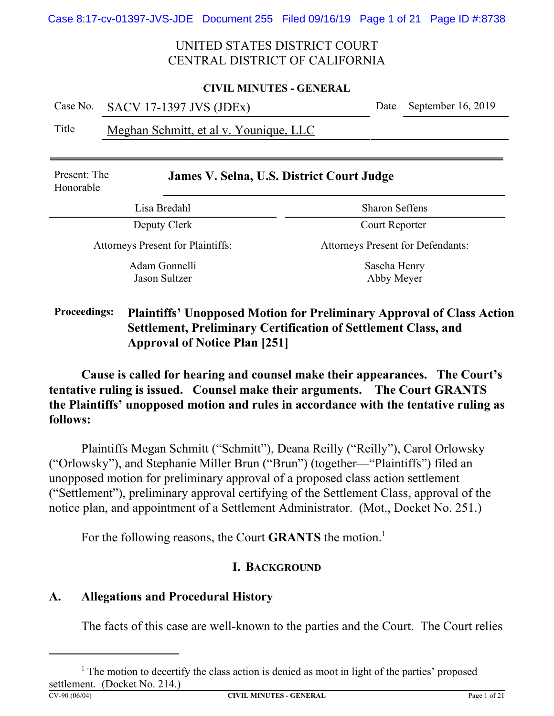#### **CIVIL MINUTES - GENERAL**

Case No. SACV 17-1397 JVS (JDEx) Date September 16, 2019

Title Meghan Schmitt, et al v. Younique, LLC

| Present: The<br>Honorable                | <b>James V. Selna, U.S. District Court Judge</b> |  |  |  |
|------------------------------------------|--------------------------------------------------|--|--|--|
| Lisa Bredahl                             | <b>Sharon Seffens</b>                            |  |  |  |
| Deputy Clerk                             | Court Reporter                                   |  |  |  |
| <b>Attorneys Present for Plaintiffs:</b> | <b>Attorneys Present for Defendants:</b>         |  |  |  |
| Adam Gonnelli<br>Jason Sultzer           | Sascha Henry<br>Abby Meyer                       |  |  |  |

# **Proceedings: Plaintiffs' Unopposed Motion for Preliminary Approval of Class Action Settlement, Preliminary Certification of Settlement Class, and Approval of Notice Plan [251]**

**Cause is called for hearing and counsel make their appearances. The Court's tentative ruling is issued. Counsel make their arguments. The Court GRANTS the Plaintiffs' unopposed motion and rules in accordance with the tentative ruling as follows:** 

Plaintiffs Megan Schmitt ("Schmitt"), Deana Reilly ("Reilly"), Carol Orlowsky ("Orlowsky"), and Stephanie Miller Brun ("Brun") (together—"Plaintiffs") filed an unopposed motion for preliminary approval of a proposed class action settlement ("Settlement"), preliminary approval certifying of the Settlement Class, approval of the notice plan, and appointment of a Settlement Administrator. (Mot., Docket No. 251.)

For the following reasons, the Court **GRANTS** the motion.<sup>1</sup>

# **I. BACKGROUND**

# **A. Allegations and Procedural History**

The facts of this case are well-known to the parties and the Court. The Court relies

**CIVIL MINUTES - GENERAL Page 1 of 21** 

 $<sup>1</sup>$  The motion to decertify the class action is denied as moot in light of the parties' proposed</sup> settlement. (Docket No. 214.)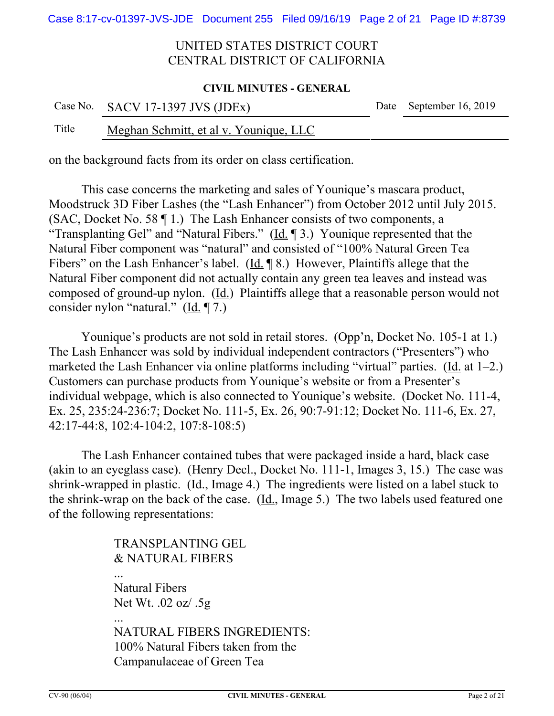#### **CIVIL MINUTES - GENERAL**

|       | Case No. SACV 17-1397 JVS (JDEx)       | Date September 16, 2019 |
|-------|----------------------------------------|-------------------------|
| Title | Meghan Schmitt, et al v. Younique, LLC |                         |

on the background facts from its order on class certification.

This case concerns the marketing and sales of Younique's mascara product, Moodstruck 3D Fiber Lashes (the "Lash Enhancer") from October 2012 until July 2015. (SAC, Docket No. 58 ¶ 1.) The Lash Enhancer consists of two components, a "Transplanting Gel" and "Natural Fibers." ( $\underline{Id}$ .  $\P$ 3.) Younique represented that the Natural Fiber component was "natural" and consisted of "100% Natural Green Tea Fibers" on the Lash Enhancer's label. (Id. ¶ 8.) However, Plaintiffs allege that the Natural Fiber component did not actually contain any green tea leaves and instead was composed of ground-up nylon.  $(\underline{Id.})$  Plaintiffs allege that a reasonable person would not consider nylon "natural."  $(\underline{Id}, \P$  7.)

Younique's products are not sold in retail stores. (Opp'n, Docket No. 105-1 at 1.) The Lash Enhancer was sold by individual independent contractors ("Presenters") who marketed the Lash Enhancer via online platforms including "virtual" parties. (Id. at  $1-2$ .) Customers can purchase products from Younique's website or from a Presenter's individual webpage, which is also connected to Younique's website. (Docket No. 111-4, Ex. 25, 235:24-236:7; Docket No. 111-5, Ex. 26, 90:7-91:12; Docket No. 111-6, Ex. 27, 42:17-44:8, 102:4-104:2, 107:8-108:5)

The Lash Enhancer contained tubes that were packaged inside a hard, black case (akin to an eyeglass case). (Henry Decl., Docket No. 111-1, Images 3, 15.) The case was shrink-wrapped in plastic. (Id., Image 4.) The ingredients were listed on a label stuck to the shrink-wrap on the back of the case. (Id., Image 5.) The two labels used featured one of the following representations:

> TRANSPLANTING GEL & NATURAL FIBERS ... Natural Fibers Net Wt. .02 oz/ .5g ... NATURAL FIBERS INGREDIENTS: 100% Natural Fibers taken from the Campanulaceae of Green Tea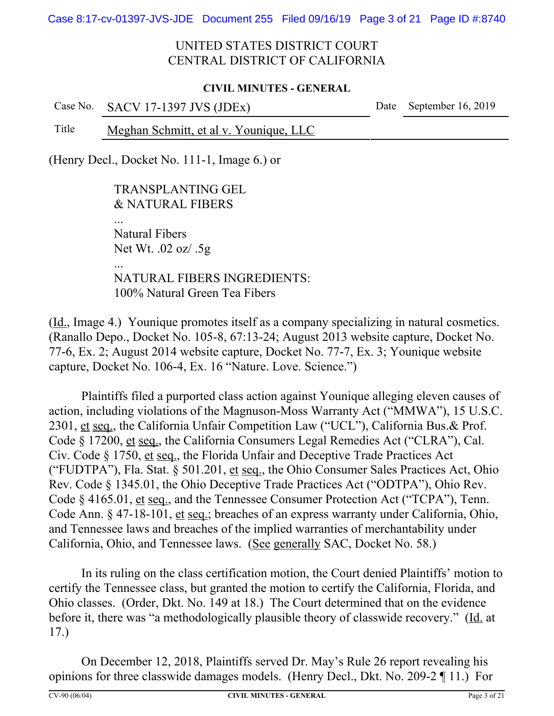Case 8:17-cv-01397-JVS-JDE Document 255 Filed 09/16/19 Page 3 of 21 Page ID #:8740

# UNITED STATES DISTRICT COURT CENTRAL DISTRICT OF CALIFORNIA

#### **CIVIL MINUTES - GENERAL**

Case No. SACV 17-1397 JVS (JDEx) Date September 16, 2019 Title Meghan Schmitt, et al v. Younique, LLC

(Henry Decl., Docket No. 111-1, Image 6.) or

TRANSPLANTING GEL & NATURAL FIBERS Natural Fibers Net Wt. .02 oz/ .5g ... NATURAL FIBERS INGREDIENTS: 100% Natural Green Tea Fibers

(Id., Image 4.) Younique promotes itself as a company specializing in natural cosmetics. (Ranallo Depo., Docket No. 105-8, 67:13-24; August 2013 website capture, Docket No. 77-6, Ex. 2; August 2014 website capture, Docket No. 77-7, Ex. 3; Younique website capture, Docket No. 106-4, Ex. 16 "Nature. Love. Science.")

Plaintiffs filed a purported class action against Younique alleging eleven causes of action, including violations of the Magnuson-Moss Warranty Act ("MMWA"), 15 U.S.C. 2301, et seq., the California Unfair Competition Law ("UCL"), California Bus.& Prof. Code § 17200, et seq., the California Consumers Legal Remedies Act ("CLRA"), Cal. Civ. Code § 1750, et seq., the Florida Unfair and Deceptive Trade Practices Act ("FUDTPA"), Fla. Stat. § 501.201, et seq., the Ohio Consumer Sales Practices Act, Ohio Rev. Code § 1345.01, the Ohio Deceptive Trade Practices Act ("ODTPA"), Ohio Rev. Code § 4165.01, et seq., and the Tennessee Consumer Protection Act ("TCPA"), Tenn. Code Ann. § 47-18-101, et seq.; breaches of an express warranty under California, Ohio, and Tennessee laws and breaches of the implied warranties of merchantability under California, Ohio, and Tennessee laws. (See generally SAC, Docket No. 58.)

In its ruling on the class certification motion, the Court denied Plaintiffs' motion to certify the Tennessee class, but granted the motion to certify the California, Florida, and Ohio classes. (Order, Dkt. No. 149 at 18.) The Court determined that on the evidence before it, there was "a methodologically plausible theory of classwide recovery." (Id. at 17.)

On December 12, 2018, Plaintiffs served Dr. May's Rule 26 report revealing his opinions for three classwide damages models. (Henry Decl., Dkt. No. 209-2 ¶ 11.) For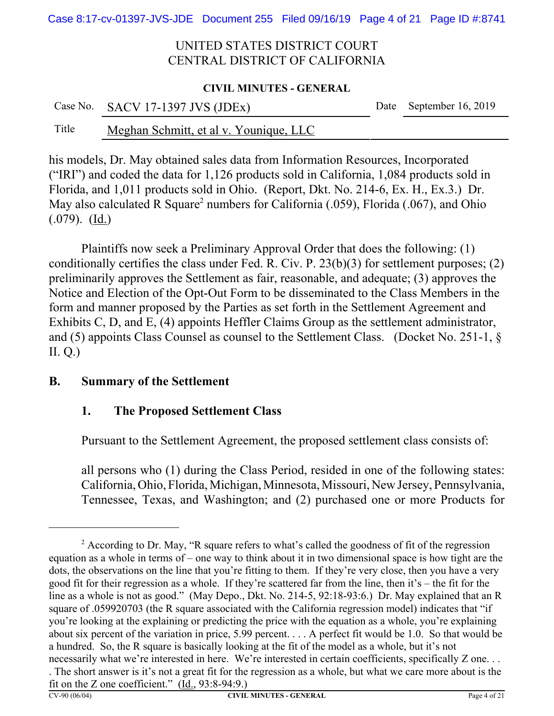#### **CIVIL MINUTES - GENERAL**

|       | Case No. SACV 17-1397 JVS (JDEx)       | Date September 16, 2019 |
|-------|----------------------------------------|-------------------------|
| Title | Meghan Schmitt, et al v. Younique, LLC |                         |

his models, Dr. May obtained sales data from Information Resources, Incorporated ("IRI") and coded the data for 1,126 products sold in California, 1,084 products sold in Florida, and 1,011 products sold in Ohio. (Report, Dkt. No. 214-6, Ex. H., Ex.3.) Dr. May also calculated R Square<sup>2</sup> numbers for California (.059), Florida (.067), and Ohio  $(.079)$ .  $(\underline{Id.})$ 

Plaintiffs now seek a Preliminary Approval Order that does the following: (1) conditionally certifies the class under Fed. R. Civ. P. 23(b)(3) for settlement purposes; (2) preliminarily approves the Settlement as fair, reasonable, and adequate; (3) approves the Notice and Election of the Opt-Out Form to be disseminated to the Class Members in the form and manner proposed by the Parties as set forth in the Settlement Agreement and Exhibits C, D, and E, (4) appoints Heffler Claims Group as the settlement administrator, and (5) appoints Class Counsel as counsel to the Settlement Class. (Docket No. 251-1, § II. Q.)

# **B. Summary of the Settlement**

# **1. The Proposed Settlement Class**

Pursuant to the Settlement Agreement, the proposed settlement class consists of:

all persons who (1) during the Class Period, resided in one of the following states: California, Ohio, Florida, Michigan, Minnesota, Missouri, New Jersey, Pennsylvania, Tennessee, Texas, and Washington; and (2) purchased one or more Products for

<sup>&</sup>lt;sup>2</sup> According to Dr. May, "R square refers to what's called the goodness of fit of the regression equation as a whole in terms of – one way to think about it in two dimensional space is how tight are the dots, the observations on the line that you're fitting to them. If they're very close, then you have a very good fit for their regression as a whole. If they're scattered far from the line, then it's – the fit for the line as a whole is not as good." (May Depo., Dkt. No. 214-5, 92:18-93:6.) Dr. May explained that an R square of .059920703 (the R square associated with the California regression model) indicates that "if you're looking at the explaining or predicting the price with the equation as a whole, you're explaining about six percent of the variation in price, 5.99 percent. . . . A perfect fit would be 1.0. So that would be a hundred. So, the R square is basically looking at the fit of the model as a whole, but it's not necessarily what we're interested in here. We're interested in certain coefficients, specifically Z one. . . . The short answer is it's not a great fit for the regression as a whole, but what we care more about is the fit on the Z one coefficient." (Id., 93:8-94:9.)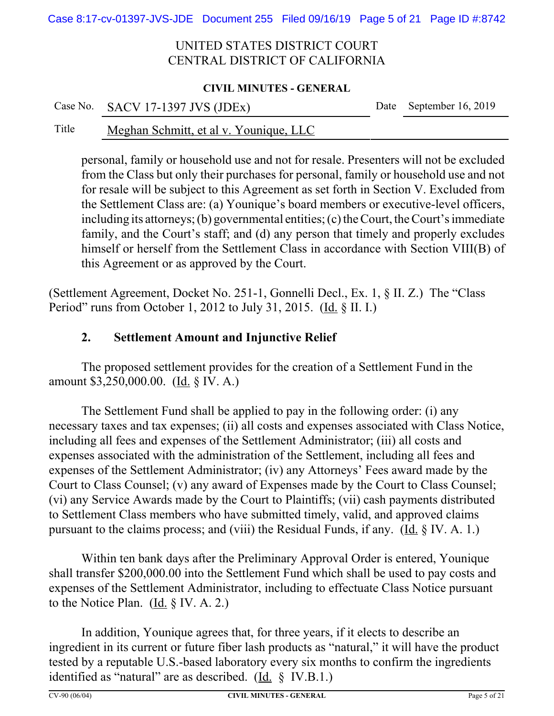### **CIVIL MINUTES - GENERAL**

|       | Case No. SACV 17-1397 JVS (JDEx)       | Date September 16, 2019 |
|-------|----------------------------------------|-------------------------|
| Title | Meghan Schmitt, et al v. Younique, LLC |                         |

personal, family or household use and not for resale. Presenters will not be excluded from the Class but only their purchases for personal, family or household use and not for resale will be subject to this Agreement as set forth in Section V. Excluded from the Settlement Class are: (a) Younique's board members or executive-level officers, including its attorneys; (b) governmental entities; (c) the Court, the Court's immediate family, and the Court's staff; and (d) any person that timely and properly excludes himself or herself from the Settlement Class in accordance with Section VIII(B) of this Agreement or as approved by the Court.

(Settlement Agreement, Docket No. 251-1, Gonnelli Decl., Ex. 1, § II. Z.) The "Class Period" runs from October 1, 2012 to July 31, 2015. (Id. § II. I.)

# **2. Settlement Amount and Injunctive Relief**

The proposed settlement provides for the creation of a Settlement Fund in the amount \$3,250,000.00. (Id. § IV. A.)

The Settlement Fund shall be applied to pay in the following order: (i) any necessary taxes and tax expenses; (ii) all costs and expenses associated with Class Notice, including all fees and expenses of the Settlement Administrator; (iii) all costs and expenses associated with the administration of the Settlement, including all fees and expenses of the Settlement Administrator; (iv) any Attorneys' Fees award made by the Court to Class Counsel; (v) any award of Expenses made by the Court to Class Counsel; (vi) any Service Awards made by the Court to Plaintiffs; (vii) cash payments distributed to Settlement Class members who have submitted timely, valid, and approved claims pursuant to the claims process; and (viii) the Residual Funds, if any. (Id. § IV. A. 1.)

Within ten bank days after the Preliminary Approval Order is entered, Younique shall transfer \$200,000.00 into the Settlement Fund which shall be used to pay costs and expenses of the Settlement Administrator, including to effectuate Class Notice pursuant to the Notice Plan. (Id. § IV. A. 2.)

In addition, Younique agrees that, for three years, if it elects to describe an ingredient in its current or future fiber lash products as "natural," it will have the product tested by a reputable U.S.-based laboratory every six months to confirm the ingredients identified as "natural" are as described. (Id. § IV.B.1.)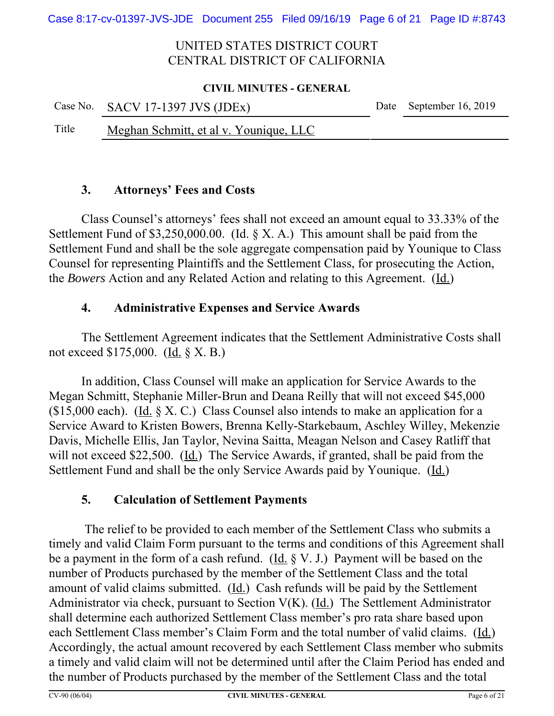#### **CIVIL MINUTES - GENERAL**

|       | Case No. SACV 17-1397 JVS (JDEx)       | Date September 16, 2019 |
|-------|----------------------------------------|-------------------------|
| Title | Meghan Schmitt, et al v. Younique, LLC |                         |

## **3. Attorneys' Fees and Costs**

Class Counsel's attorneys' fees shall not exceed an amount equal to 33.33% of the Settlement Fund of \$3,250,000.00. (Id.  $\S$  X. A.) This amount shall be paid from the Settlement Fund and shall be the sole aggregate compensation paid by Younique to Class Counsel for representing Plaintiffs and the Settlement Class, for prosecuting the Action, the *Bowers* Action and any Related Action and relating to this Agreement. (Id.)

# **4. Administrative Expenses and Service Awards**

The Settlement Agreement indicates that the Settlement Administrative Costs shall not exceed \$175,000. (Id. § X. B.)

In addition, Class Counsel will make an application for Service Awards to the Megan Schmitt, Stephanie Miller-Brun and Deana Reilly that will not exceed \$45,000 (\$15,000 each). (Id.  $\S$  X. C.) Class Counsel also intends to make an application for a Service Award to Kristen Bowers, Brenna Kelly-Starkebaum, Aschley Willey, Mekenzie Davis, Michelle Ellis, Jan Taylor, Nevina Saitta, Meagan Nelson and Casey Ratliff that will not exceed \$22,500. (Id.) The Service Awards, if granted, shall be paid from the Settlement Fund and shall be the only Service Awards paid by Younique. (Id.)

# **5. Calculation of Settlement Payments**

 The relief to be provided to each member of the Settlement Class who submits a timely and valid Claim Form pursuant to the terms and conditions of this Agreement shall be a payment in the form of a cash refund. (Id.  $\S V$ . J.) Payment will be based on the number of Products purchased by the member of the Settlement Class and the total amount of valid claims submitted. (Id.) Cash refunds will be paid by the Settlement Administrator via check, pursuant to Section  $V(K)$ . (Id.) The Settlement Administrator shall determine each authorized Settlement Class member's pro rata share based upon each Settlement Class member's Claim Form and the total number of valid claims. (Id.) Accordingly, the actual amount recovered by each Settlement Class member who submits a timely and valid claim will not be determined until after the Claim Period has ended and the number of Products purchased by the member of the Settlement Class and the total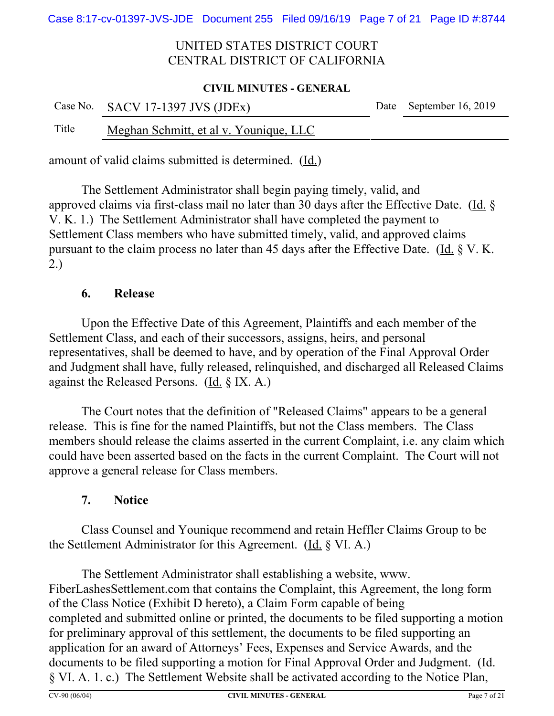#### **CIVIL MINUTES - GENERAL**

|       | Case No. SACV 17-1397 JVS (JDEx)       | Date September 16, 2019 |
|-------|----------------------------------------|-------------------------|
| Title | Meghan Schmitt, et al v. Younique, LLC |                         |

amount of valid claims submitted is determined.(Id.)

The Settlement Administrator shall begin paying timely, valid, and approved claims via first-class mail no later than 30 days after the Effective Date.(Id. § V. K. 1.) The Settlement Administrator shall have completed the payment to Settlement Class members who have submitted timely, valid, and approved claims pursuant to the claim process no later than 45 days after the Effective Date. (Id. § V. K. 2.)

# **6. Release**

Upon the Effective Date of this Agreement, Plaintiffs and each member of the Settlement Class, and each of their successors, assigns, heirs, and personal representatives, shall be deemed to have, and by operation of the Final Approval Order and Judgment shall have, fully released, relinquished, and discharged all Released Claims against the Released Persons.  $(\underline{Id}, \S \, IX. A.)$ 

The Court notes that the definition of "Released Claims" appears to be a general release. This is fine for the named Plaintiffs, but not the Class members. The Class members should release the claims asserted in the current Complaint, i.e. any claim which could have been asserted based on the facts in the current Complaint. The Court will not approve a general release for Class members.

# **7. Notice**

Class Counsel and Younique recommend and retain Heffler Claims Group to be the Settlement Administrator for this Agreement. (Id. § VI. A.)

The Settlement Administrator shall establishing a website, www. FiberLashesSettlement.com that contains the Complaint, this Agreement, the long form of the Class Notice (Exhibit D hereto), a Claim Form capable of being completed and submitted online or printed, the documents to be filed supporting a motion for preliminary approval of this settlement, the documents to be filed supporting an application for an award of Attorneys' Fees, Expenses and Service Awards, and the documents to be filed supporting a motion for Final Approval Order and Judgment. (Id. § VI. A. 1. c.) The Settlement Website shall be activated according to the Notice Plan,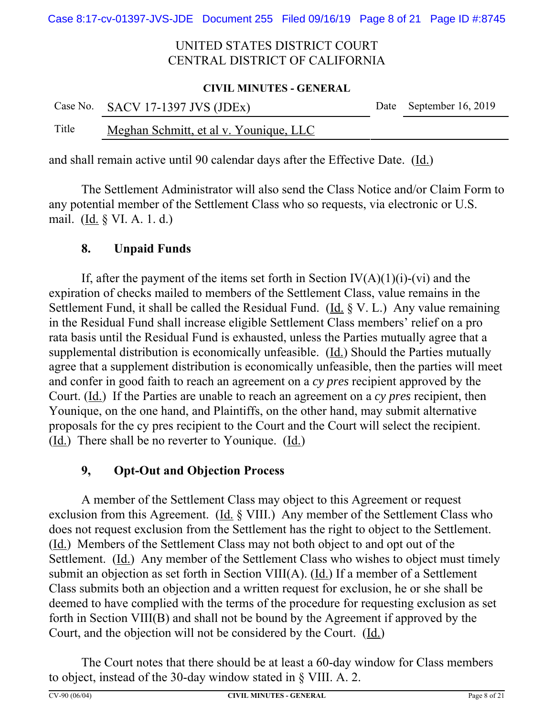#### **CIVIL MINUTES - GENERAL**

|       | Case No. SACV 17-1397 JVS (JDEx)       | Date September 16, 2019 |
|-------|----------------------------------------|-------------------------|
| Title | Meghan Schmitt, et al v. Younique, LLC |                         |

and shall remain active until 90 calendar days after the Effective Date.  $(Id.)$ 

The Settlement Administrator will also send the Class Notice and/or Claim Form to any potential member of the Settlement Class who so requests, via electronic or U.S. mail. (Id. § VI. A. 1. d.)

# **8. Unpaid Funds**

If, after the payment of the items set forth in Section  $IV(A)(1)(i)-(vi)$  and the expiration of checks mailed to members of the Settlement Class, value remains in the Settlement Fund, it shall be called the Residual Fund. (Id.  $\S V$ . L.) Any value remaining in the Residual Fund shall increase eligible Settlement Class members' relief on a pro rata basis until the Residual Fund is exhausted, unless the Parties mutually agree that a supplemental distribution is economically unfeasible.  $(\underline{Id})$  Should the Parties mutually agree that a supplement distribution is economically unfeasible, then the parties will meet and confer in good faith to reach an agreement on a *cy pres* recipient approved by the Court. (Id.) If the Parties are unable to reach an agreement on a *cy pres* recipient, then Younique, on the one hand, and Plaintiffs, on the other hand, may submit alternative proposals for the cy pres recipient to the Court and the Court will select the recipient. (Id.) There shall be no reverter to Younique.(Id.)

# **9, Opt-Out and Objection Process**

A member of the Settlement Class may object to this Agreement or request exclusion from this Agreement. ( $\underline{Id}$ ,  $\S$  VIII.) Any member of the Settlement Class who does not request exclusion from the Settlement has the right to object to the Settlement. (Id.) Members of the Settlement Class may not both object to and opt out of the Settlement. (Id.) Any member of the Settlement Class who wishes to object must timely submit an objection as set forth in Section VIII(A). (Id.) If a member of a Settlement Class submits both an objection and a written request for exclusion, he or she shall be deemed to have complied with the terms of the procedure for requesting exclusion as set forth in Section VIII(B) and shall not be bound by the Agreement if approved by the Court, and the objection will not be considered by the Court. (Id.)

The Court notes that there should be at least a 60-day window for Class members to object, instead of the 30-day window stated in § VIII. A. 2.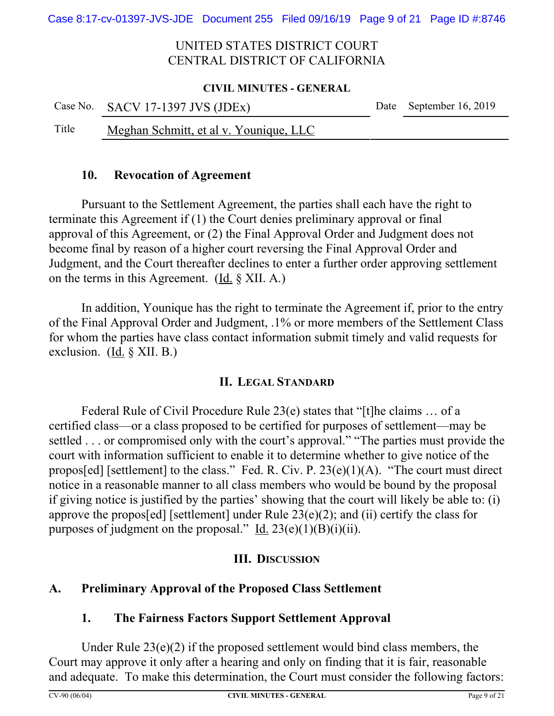#### **CIVIL MINUTES - GENERAL**

|       | Case No. SACV 17-1397 JVS (JDEx)       | Date September 16, 2019 |
|-------|----------------------------------------|-------------------------|
| Title | Meghan Schmitt, et al v. Younique, LLC |                         |

## **10. Revocation of Agreement**

Pursuant to the Settlement Agreement, the parties shall each have the right to terminate this Agreement if (1) the Court denies preliminary approval or final approval of this Agreement, or (2) the Final Approval Order and Judgment does not become final by reason of a higher court reversing the Final Approval Order and Judgment, and the Court thereafter declines to enter a further order approving settlement on the terms in this Agreement. (Id. § XII. A.)

In addition, Younique has the right to terminate the Agreement if, prior to the entry of the Final Approval Order and Judgment, .1% or more members of the Settlement Class for whom the parties have class contact information submit timely and valid requests for exclusion. (Id. § XII. B.)

# **II. LEGAL STANDARD**

Federal Rule of Civil Procedure Rule 23(e) states that "[t]he claims … of a certified class—or a class proposed to be certified for purposes of settlement—may be settled . . . or compromised only with the court's approval." "The parties must provide the court with information sufficient to enable it to determine whether to give notice of the propos[ed] [settlement] to the class." Fed. R. Civ. P.  $23(e)(1)(A)$ . "The court must direct notice in a reasonable manner to all class members who would be bound by the proposal if giving notice is justified by the parties' showing that the court will likely be able to: (i) approve the propos[ed] [settlement] under Rule  $23(e)(2)$ ; and (ii) certify the class for purposes of judgment on the proposal." Id.  $23(e)(1)(B)(i)(ii)$ .

# **III. DISCUSSION**

# **A. Preliminary Approval of the Proposed Class Settlement**

# **1. The Fairness Factors Support Settlement Approval**

Under Rule 23(e)(2) if the proposed settlement would bind class members, the Court may approve it only after a hearing and only on finding that it is fair, reasonable and adequate. To make this determination, the Court must consider the following factors: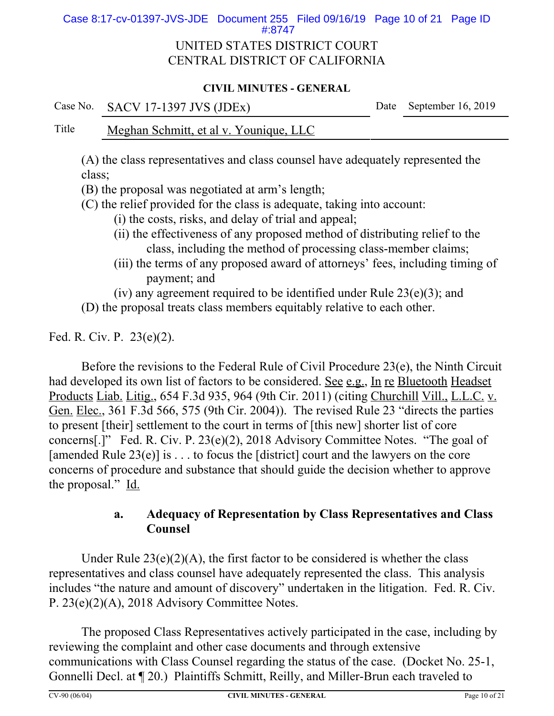Case 8:17-cv-01397-JVS-JDE Document 255 Filed 09/16/19 Page 10 of 21 Page ID #:8747

# UNITED STATES DISTRICT COURT CENTRAL DISTRICT OF CALIFORNIA

### **CIVIL MINUTES - GENERAL**

Case No. SACV 17-1397 JVS (JDEx) Date September 16, 2019

## Title Meghan Schmitt, et al v. Younique, LLC

(A) the class representatives and class counsel have adequately represented the class;

(B) the proposal was negotiated at arm's length;

(C) the relief provided for the class is adequate, taking into account:

- (i) the costs, risks, and delay of trial and appeal;
- (ii) the effectiveness of any proposed method of distributing relief to the class, including the method of processing class-member claims;
- (iii) the terms of any proposed award of attorneys' fees, including timing of payment; and

(iv) any agreement required to be identified under Rule  $23(e)(3)$ ; and

(D) the proposal treats class members equitably relative to each other.

Fed. R. Civ. P. 23(e)(2).

Before the revisions to the Federal Rule of Civil Procedure 23(e), the Ninth Circuit had developed its own list of factors to be considered. See e.g., In re Bluetooth Headset Products Liab. Litig., 654 F.3d 935, 964 (9th Cir. 2011) (citing Churchill Vill., L.L.C. v. Gen. Elec., 361 F.3d 566, 575 (9th Cir. 2004)). The revised Rule 23 "directs the parties to present [their] settlement to the court in terms of [this new] shorter list of core concerns[.]" Fed. R. Civ. P. 23(e)(2), 2018 Advisory Committee Notes. "The goal of [amended Rule  $23(e)$ ] is ... to focus the [district] court and the lawyers on the core concerns of procedure and substance that should guide the decision whether to approve the proposal." Id.

# **a. Adequacy of Representation by Class Representatives and Class Counsel**

Under Rule  $23(e)(2)(A)$ , the first factor to be considered is whether the class representatives and class counsel have adequately represented the class. This analysis includes "the nature and amount of discovery" undertaken in the litigation. Fed. R. Civ. P. 23(e)(2)(A), 2018 Advisory Committee Notes.

The proposed Class Representatives actively participated in the case, including by reviewing the complaint and other case documents and through extensive communications with Class Counsel regarding the status of the case. (Docket No. 25-1, Gonnelli Decl. at ¶ 20.) Plaintiffs Schmitt, Reilly, and Miller-Brun each traveled to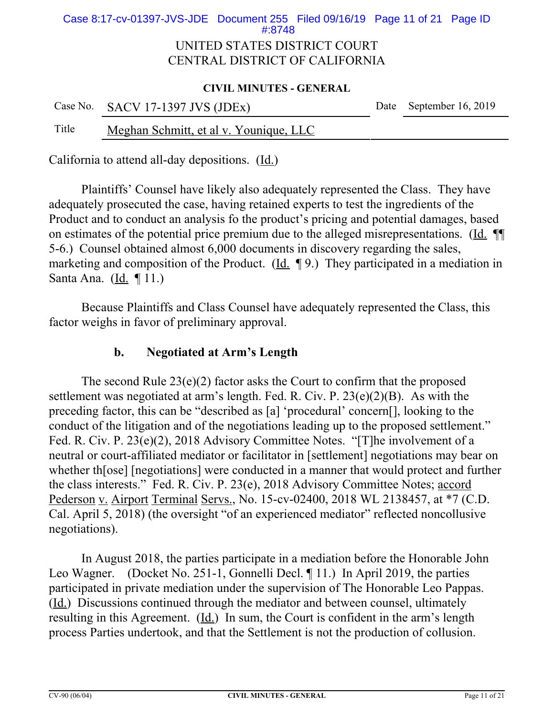## UNITED STATES DISTRICT COURT CENTRAL DISTRICT OF CALIFORNIA Case 8:17-cv-01397-JVS-JDE Document 255 Filed 09/16/19 Page 11 of 21 Page ID #:8748

#### **CIVIL MINUTES - GENERAL**

|       | Case No. SACV 17-1397 JVS (JDEx)       | Date September 16, 2019 |
|-------|----------------------------------------|-------------------------|
| Title | Meghan Schmitt, et al v. Younique, LLC |                         |

California to attend all-day depositions. (Id.)

Plaintiffs' Counsel have likely also adequately represented the Class. They have adequately prosecuted the case, having retained experts to test the ingredients of the Product and to conduct an analysis fo the product's pricing and potential damages, based on estimates of the potential price premium due to the alleged misrepresentations. (Id. ¶¶ 5-6.) Counsel obtained almost 6,000 documents in discovery regarding the sales, marketing and composition of the Product. (Id. ¶ 9.) They participated in a mediation in Santa Ana. (Id. ¶ 11.)

Because Plaintiffs and Class Counsel have adequately represented the Class, this factor weighs in favor of preliminary approval.

## **b. Negotiated at Arm's Length**

The second Rule  $23(e)(2)$  factor asks the Court to confirm that the proposed settlement was negotiated at arm's length. Fed. R. Civ. P. 23(e)(2)(B). As with the preceding factor, this can be "described as [a] 'procedural' concern[], looking to the conduct of the litigation and of the negotiations leading up to the proposed settlement." Fed. R. Civ. P. 23(e)(2), 2018 Advisory Committee Notes. "[T]he involvement of a neutral or court-affiliated mediator or facilitator in [settlement] negotiations may bear on whether th[ose] [negotiations] were conducted in a manner that would protect and further the class interests." Fed. R. Civ. P. 23(e), 2018 Advisory Committee Notes; accord Pederson v. Airport Terminal Servs., No. 15-cv-02400, 2018 WL 2138457, at \*7 (C.D. Cal. April 5, 2018) (the oversight "of an experienced mediator" reflected noncollusive negotiations).

In August 2018, the parties participate in a mediation before the Honorable John Leo Wagner. (Docket No. 251-1, Gonnelli Decl. ¶ 11.) In April 2019, the parties participated in private mediation under the supervision of The Honorable Leo Pappas. (Id.) Discussions continued through the mediator and between counsel, ultimately resulting in this Agreement. (Id.) In sum, the Court is confident in the arm's length process Parties undertook, and that the Settlement is not the production of collusion.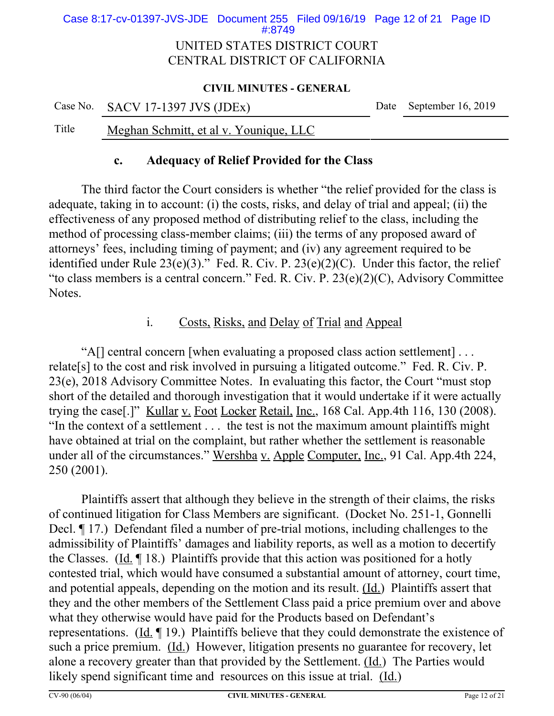## UNITED STATES DISTRICT COURT CENTRAL DISTRICT OF CALIFORNIA Case 8:17-cv-01397-JVS-JDE Document 255 Filed 09/16/19 Page 12 of 21 Page ID #:8749

#### **CIVIL MINUTES - GENERAL**

|       | Case No. SACV 17-1397 JVS (JDEx)       | Date September 16, 2019 |
|-------|----------------------------------------|-------------------------|
| Title | Meghan Schmitt, et al v. Younique, LLC |                         |

## **c. Adequacy of Relief Provided for the Class**

The third factor the Court considers is whether "the relief provided for the class is adequate, taking in to account: (i) the costs, risks, and delay of trial and appeal; (ii) the effectiveness of any proposed method of distributing relief to the class, including the method of processing class-member claims; (iii) the terms of any proposed award of attorneys' fees, including timing of payment; and (iv) any agreement required to be identified under Rule  $23(e)(3)$ ." Fed. R. Civ. P.  $23(e)(2)(C)$ . Under this factor, the relief "to class members is a central concern." Fed. R. Civ. P. 23(e)(2)(C), Advisory Committee Notes.

# i. Costs, Risks, and Delay of Trial and Appeal

"A[] central concern [when evaluating a proposed class action settlement] . . . relate[s] to the cost and risk involved in pursuing a litigated outcome." Fed. R. Civ. P. 23(e), 2018 Advisory Committee Notes. In evaluating this factor, the Court "must stop short of the detailed and thorough investigation that it would undertake if it were actually trying the case[.]" Kullar v. Foot Locker Retail, Inc., 168 Cal. App.4th 116, 130 (2008). "In the context of a settlement . . . the test is not the maximum amount plaintiffs might have obtained at trial on the complaint, but rather whether the settlement is reasonable under all of the circumstances." Wershba v. Apple Computer, Inc., 91 Cal. App.4th 224, 250 (2001).

Plaintiffs assert that although they believe in the strength of their claims, the risks of continued litigation for Class Members are significant. (Docket No. 251-1, Gonnelli Decl. ¶ 17.) Defendant filed a number of pre-trial motions, including challenges to the admissibility of Plaintiffs' damages and liability reports, as well as a motion to decertify the Classes. (Id. ¶ 18.) Plaintiffs provide that this action was positioned for a hotly contested trial, which would have consumed a substantial amount of attorney, court time, and potential appeals, depending on the motion and its result. (Id.) Plaintiffs assert that they and the other members of the Settlement Class paid a price premium over and above what they otherwise would have paid for the Products based on Defendant's representations. (Id. ¶ 19.) Plaintiffs believe that they could demonstrate the existence of such a price premium. (Id.) However, litigation presents no guarantee for recovery, let alone a recovery greater than that provided by the Settlement. (Id.) The Parties would likely spend significant time and resources on this issue at trial. (Id.)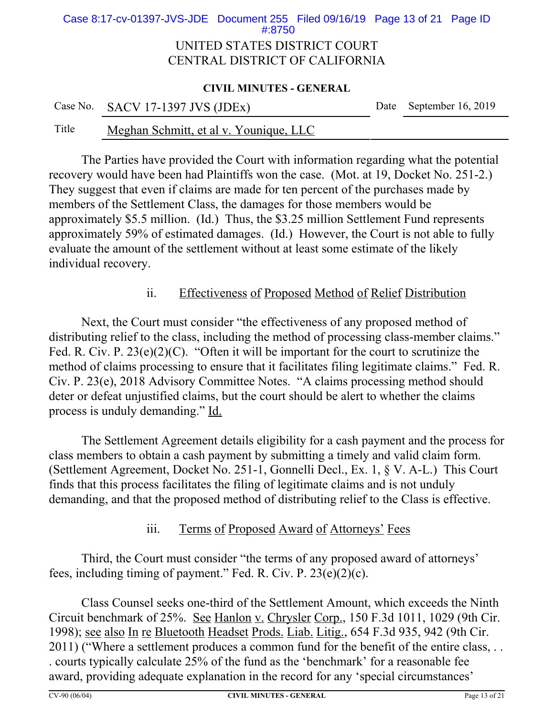## UNITED STATES DISTRICT COURT CENTRAL DISTRICT OF CALIFORNIA Case 8:17-cv-01397-JVS-JDE Document 255 Filed 09/16/19 Page 13 of 21 Page ID #:8750

#### **CIVIL MINUTES - GENERAL**

|       | Case No. SACV 17-1397 JVS (JDEx)       | Date September 16, 2019 |
|-------|----------------------------------------|-------------------------|
| Title | Meghan Schmitt, et al v. Younique, LLC |                         |

The Parties have provided the Court with information regarding what the potential recovery would have been had Plaintiffs won the case. (Mot. at 19, Docket No. 251-2.) They suggest that even if claims are made for ten percent of the purchases made by members of the Settlement Class, the damages for those members would be approximately \$5.5 million. (Id.) Thus, the \$3.25 million Settlement Fund represents approximately 59% of estimated damages. (Id.) However, the Court is not able to fully evaluate the amount of the settlement without at least some estimate of the likely individual recovery.

# ii. Effectiveness of Proposed Method of Relief Distribution

Next, the Court must consider "the effectiveness of any proposed method of distributing relief to the class, including the method of processing class-member claims." Fed. R. Civ. P.  $23(e)(2)(C)$ . "Often it will be important for the court to scrutinize the method of claims processing to ensure that it facilitates filing legitimate claims." Fed. R. Civ. P. 23(e), 2018 Advisory Committee Notes. "A claims processing method should deter or defeat unjustified claims, but the court should be alert to whether the claims process is unduly demanding." Id.

The Settlement Agreement details eligibility for a cash payment and the process for class members to obtain a cash payment by submitting a timely and valid claim form. (Settlement Agreement, Docket No. 251-1, Gonnelli Decl., Ex. 1, § V. A-L.) This Court finds that this process facilitates the filing of legitimate claims and is not unduly demanding, and that the proposed method of distributing relief to the Class is effective.

# iii. Terms of Proposed Award of Attorneys' Fees

Third, the Court must consider "the terms of any proposed award of attorneys' fees, including timing of payment." Fed. R. Civ. P. 23(e)(2)(c).

Class Counsel seeks one-third of the Settlement Amount, which exceeds the Ninth Circuit benchmark of 25%. See Hanlon v. Chrysler Corp., 150 F.3d 1011, 1029 (9th Cir. 1998); see also In re Bluetooth Headset Prods. Liab. Litig., 654 F.3d 935, 942 (9th Cir. 2011) ("Where a settlement produces a common fund for the benefit of the entire class, . . . courts typically calculate 25% of the fund as the 'benchmark' for a reasonable fee award, providing adequate explanation in the record for any 'special circumstances'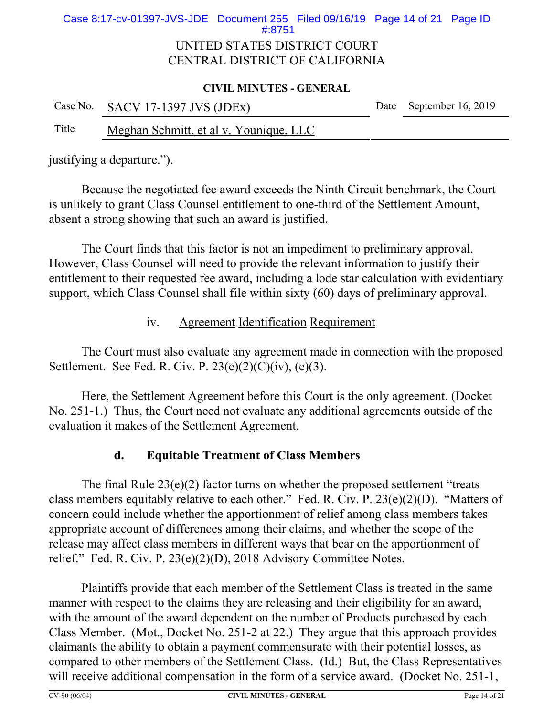## UNITED STATES DISTRICT COURT CENTRAL DISTRICT OF CALIFORNIA Case 8:17-cv-01397-JVS-JDE Document 255 Filed 09/16/19 Page 14 of 21 Page ID #:8751

#### **CIVIL MINUTES - GENERAL**

|       | Case No. SACV 17-1397 JVS (JDEx)       | Date September 16, 2019 |
|-------|----------------------------------------|-------------------------|
| Title | Meghan Schmitt, et al v. Younique, LLC |                         |

justifying a departure.").

Because the negotiated fee award exceeds the Ninth Circuit benchmark, the Court is unlikely to grant Class Counsel entitlement to one-third of the Settlement Amount, absent a strong showing that such an award is justified.

The Court finds that this factor is not an impediment to preliminary approval. However, Class Counsel will need to provide the relevant information to justify their entitlement to their requested fee award, including a lode star calculation with evidentiary support, which Class Counsel shall file within sixty (60) days of preliminary approval.

# iv. Agreement Identification Requirement

The Court must also evaluate any agreement made in connection with the proposed Settlement. See Fed. R. Civ. P.  $23(e)(2)(C)(iv)$ ,  $(e)(3)$ .

Here, the Settlement Agreement before this Court is the only agreement. (Docket No. 251-1.) Thus, the Court need not evaluate any additional agreements outside of the evaluation it makes of the Settlement Agreement.

# **d. Equitable Treatment of Class Members**

The final Rule  $23(e)(2)$  factor turns on whether the proposed settlement "treats" class members equitably relative to each other." Fed. R. Civ. P. 23(e)(2)(D). "Matters of concern could include whether the apportionment of relief among class members takes appropriate account of differences among their claims, and whether the scope of the release may affect class members in different ways that bear on the apportionment of relief." Fed. R. Civ. P. 23(e)(2)(D), 2018 Advisory Committee Notes.

Plaintiffs provide that each member of the Settlement Class is treated in the same manner with respect to the claims they are releasing and their eligibility for an award, with the amount of the award dependent on the number of Products purchased by each Class Member. (Mot., Docket No. 251-2 at 22.) They argue that this approach provides claimants the ability to obtain a payment commensurate with their potential losses, as compared to other members of the Settlement Class. (Id.) But, the Class Representatives will receive additional compensation in the form of a service award. (Docket No. 251-1,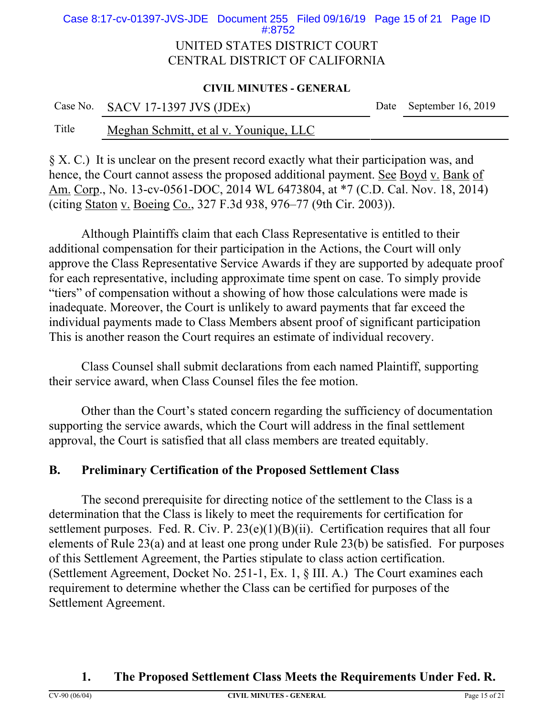## UNITED STATES DISTRICT COURT Case 8:17-cv-01397-JVS-JDE Document 255 Filed 09/16/19 Page 15 of 21 Page ID #:8752

# CENTRAL DISTRICT OF CALIFORNIA

### **CIVIL MINUTES - GENERAL**

|       | Case No. SACV 17-1397 JVS (JDEx)       | Date September 16, 2019 |
|-------|----------------------------------------|-------------------------|
| Title | Meghan Schmitt, et al v. Younique, LLC |                         |

# § X. C.) It is unclear on the present record exactly what their participation was, and hence, the Court cannot assess the proposed additional payment. See Boyd v. Bank of Am. Corp., No. 13-cv-0561-DOC, 2014 WL 6473804, at \*7 (C.D. Cal. Nov. 18, 2014) (citing Staton v. Boeing Co., 327 F.3d 938, 976–77 (9th Cir. 2003)).

Although Plaintiffs claim that each Class Representative is entitled to their additional compensation for their participation in the Actions, the Court will only approve the Class Representative Service Awards if they are supported by adequate proof for each representative, including approximate time spent on case. To simply provide "tiers" of compensation without a showing of how those calculations were made is inadequate. Moreover, the Court is unlikely to award payments that far exceed the individual payments made to Class Members absent proof of significant participation This is another reason the Court requires an estimate of individual recovery.

Class Counsel shall submit declarations from each named Plaintiff, supporting their service award, when Class Counsel files the fee motion.

Other than the Court's stated concern regarding the sufficiency of documentation supporting the service awards, which the Court will address in the final settlement approval, the Court is satisfied that all class members are treated equitably.

# **B. Preliminary Certification of the Proposed Settlement Class**

The second prerequisite for directing notice of the settlement to the Class is a determination that the Class is likely to meet the requirements for certification for settlement purposes. Fed. R. Civ. P.  $23(e)(1)(B)(ii)$ . Certification requires that all four elements of Rule 23(a) and at least one prong under Rule 23(b) be satisfied. For purposes of this Settlement Agreement, the Parties stipulate to class action certification. (Settlement Agreement, Docket No. 251-1, Ex. 1, § III. A.) The Court examines each requirement to determine whether the Class can be certified for purposes of the Settlement Agreement.

# **1. The Proposed Settlement Class Meets the Requirements Under Fed. R.**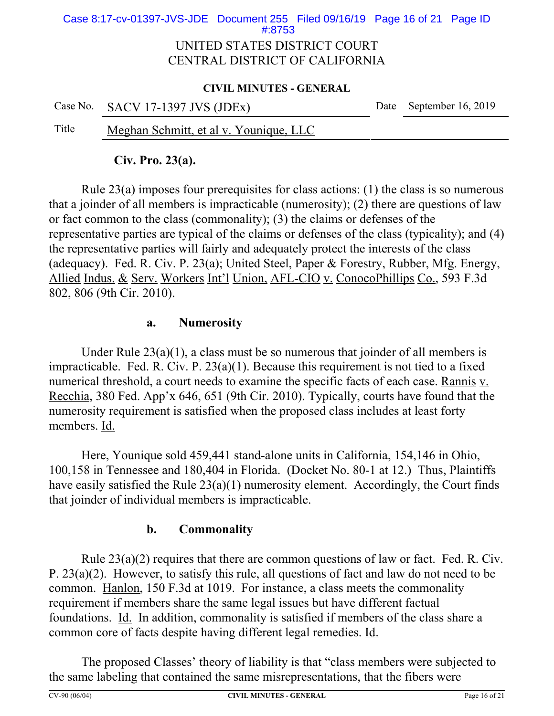# UNITED STATES DISTRICT COURT Case 8:17-cv-01397-JVS-JDE Document 255 Filed 09/16/19 Page 16 of 21 Page ID #:8753

# CENTRAL DISTRICT OF CALIFORNIA

## **CIVIL MINUTES - GENERAL**

|       | Case No. SACV 17-1397 JVS (JDEx)       | Date September 16, 2019 |
|-------|----------------------------------------|-------------------------|
| Title | Meghan Schmitt, et al v. Younique, LLC |                         |

# **Civ. Pro. 23(a).**

Rule 23(a) imposes four prerequisites for class actions: (1) the class is so numerous that a joinder of all members is impracticable (numerosity); (2) there are questions of law or fact common to the class (commonality); (3) the claims or defenses of the representative parties are typical of the claims or defenses of the class (typicality); and (4) the representative parties will fairly and adequately protect the interests of the class (adequacy). Fed. R. Civ. P. 23(a); United Steel, Paper & Forestry, Rubber, Mfg. Energy, Allied Indus. & Serv. Workers Int'l Union, AFL-CIO v. ConocoPhillips Co., 593 F.3d 802, 806 (9th Cir. 2010).

# **a. Numerosity**

Under Rule  $23(a)(1)$ , a class must be so numerous that joinder of all members is impracticable. Fed. R. Civ. P. 23(a)(1). Because this requirement is not tied to a fixed numerical threshold, a court needs to examine the specific facts of each case. Rannis v. Recchia, 380 Fed. App'x 646, 651 (9th Cir. 2010). Typically, courts have found that the numerosity requirement is satisfied when the proposed class includes at least forty members. Id.

Here, Younique sold 459,441 stand-alone units in California, 154,146 in Ohio, 100,158 in Tennessee and 180,404 in Florida. (Docket No. 80-1 at 12.) Thus, Plaintiffs have easily satisfied the Rule 23(a)(1) numerosity element. Accordingly, the Court finds that joinder of individual members is impracticable.

# **b. Commonality**

Rule 23(a)(2) requires that there are common questions of law or fact. Fed. R. Civ. P. 23(a)(2). However, to satisfy this rule, all questions of fact and law do not need to be common. Hanlon, 150 F.3d at 1019. For instance, a class meets the commonality requirement if members share the same legal issues but have different factual foundations. Id. In addition, commonality is satisfied if members of the class share a common core of facts despite having different legal remedies. Id.

The proposed Classes' theory of liability is that "class members were subjected to the same labeling that contained the same misrepresentations, that the fibers were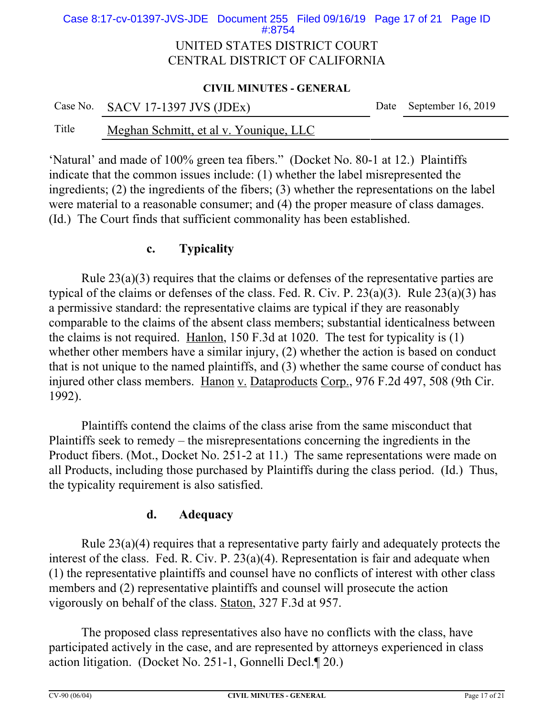## UNITED STATES DISTRICT COURT CENTRAL DISTRICT OF CALIFORNIA Case 8:17-cv-01397-JVS-JDE Document 255 Filed 09/16/19 Page 17 of 21 Page ID #:8754

#### **CIVIL MINUTES - GENERAL**

|       | Case No. SACV 17-1397 JVS (JDEx)       | Date September 16, 2019 |
|-------|----------------------------------------|-------------------------|
| Title | Meghan Schmitt, et al v. Younique, LLC |                         |

'Natural' and made of 100% green tea fibers." (Docket No. 80-1 at 12.) Plaintiffs indicate that the common issues include: (1) whether the label misrepresented the ingredients; (2) the ingredients of the fibers; (3) whether the representations on the label were material to a reasonable consumer; and (4) the proper measure of class damages. (Id.) The Court finds that sufficient commonality has been established.

## **c. Typicality**

Rule 23(a)(3) requires that the claims or defenses of the representative parties are typical of the claims or defenses of the class. Fed. R. Civ. P.  $23(a)(3)$ . Rule  $23(a)(3)$  has a permissive standard: the representative claims are typical if they are reasonably comparable to the claims of the absent class members; substantial identicalness between the claims is not required. Hanlon, 150 F.3d at 1020. The test for typicality is (1) whether other members have a similar injury, (2) whether the action is based on conduct that is not unique to the named plaintiffs, and (3) whether the same course of conduct has injured other class members. Hanon v. Dataproducts Corp., 976 F.2d 497, 508 (9th Cir. 1992).

Plaintiffs contend the claims of the class arise from the same misconduct that Plaintiffs seek to remedy – the misrepresentations concerning the ingredients in the Product fibers. (Mot., Docket No. 251-2 at 11.) The same representations were made on all Products, including those purchased by Plaintiffs during the class period. (Id.) Thus, the typicality requirement is also satisfied.

# **d. Adequacy**

Rule 23(a)(4) requires that a representative party fairly and adequately protects the interest of the class. Fed. R. Civ. P. 23(a)(4). Representation is fair and adequate when (1) the representative plaintiffs and counsel have no conflicts of interest with other class members and (2) representative plaintiffs and counsel will prosecute the action vigorously on behalf of the class. Staton, 327 F.3d at 957.

The proposed class representatives also have no conflicts with the class, have participated actively in the case, and are represented by attorneys experienced in class action litigation. (Docket No. 251-1, Gonnelli Decl.¶ 20.)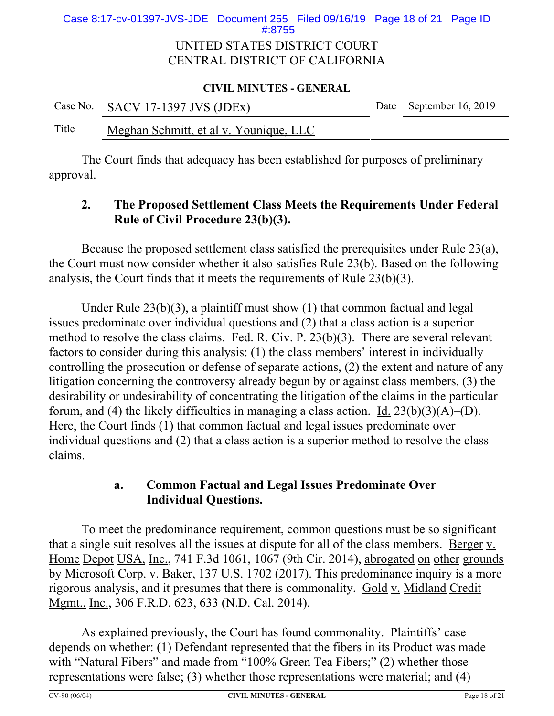## UNITED STATES DISTRICT COURT CENTRAL DISTRICT OF CALIFORNIA Case 8:17-cv-01397-JVS-JDE Document 255 Filed 09/16/19 Page 18 of 21 Page ID #:8755

#### **CIVIL MINUTES - GENERAL**

|       | Case No. SACV 17-1397 JVS (JDEx)       | Date September 16, 2019 |
|-------|----------------------------------------|-------------------------|
| Title | Meghan Schmitt, et al v. Younique, LLC |                         |

The Court finds that adequacy has been established for purposes of preliminary approval.

# **2. The Proposed Settlement Class Meets the Requirements Under Federal Rule of Civil Procedure 23(b)(3).**

Because the proposed settlement class satisfied the prerequisites under Rule 23(a), the Court must now consider whether it also satisfies Rule 23(b). Based on the following analysis, the Court finds that it meets the requirements of Rule 23(b)(3).

Under Rule 23(b)(3), a plaintiff must show (1) that common factual and legal issues predominate over individual questions and (2) that a class action is a superior method to resolve the class claims. Fed. R. Civ. P. 23(b)(3). There are several relevant factors to consider during this analysis: (1) the class members' interest in individually controlling the prosecution or defense of separate actions, (2) the extent and nature of any litigation concerning the controversy already begun by or against class members, (3) the desirability or undesirability of concentrating the litigation of the claims in the particular forum, and (4) the likely difficulties in managing a class action. <u>Id.</u>  $23(b)(3)(A)$ –(D). Here, the Court finds (1) that common factual and legal issues predominate over individual questions and (2) that a class action is a superior method to resolve the class claims.

# **a. Common Factual and Legal Issues Predominate Over Individual Questions.**

To meet the predominance requirement, common questions must be so significant that a single suit resolves all the issues at dispute for all of the class members. Berger v. Home Depot USA, Inc., 741 F.3d 1061, 1067 (9th Cir. 2014), abrogated on other grounds by Microsoft Corp. v. Baker, 137 U.S. 1702 (2017). This predominance inquiry is a more rigorous analysis, and it presumes that there is commonality. Gold v. Midland Credit Mgmt., Inc., 306 F.R.D. 623, 633 (N.D. Cal. 2014).

As explained previously, the Court has found commonality. Plaintiffs' case depends on whether: (1) Defendant represented that the fibers in its Product was made with "Natural Fibers" and made from "100% Green Tea Fibers;" (2) whether those representations were false; (3) whether those representations were material; and (4)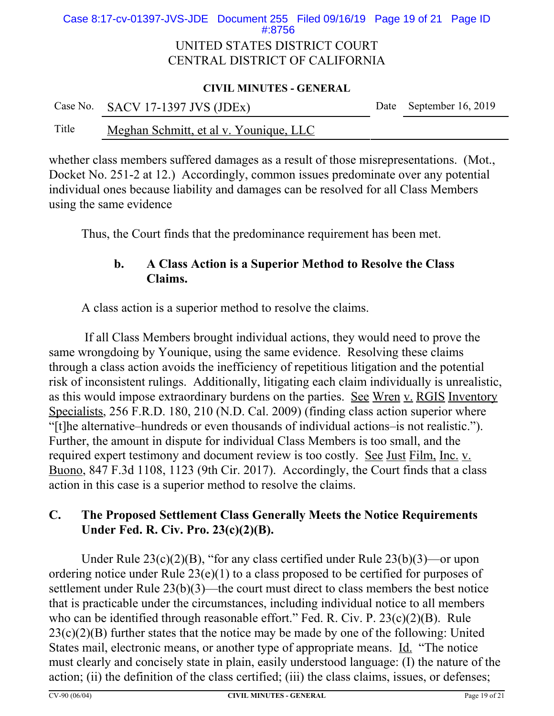## UNITED STATES DISTRICT COURT CENTRAL DISTRICT OF CALIFORNIA Case 8:17-cv-01397-JVS-JDE Document 255 Filed 09/16/19 Page 19 of 21 Page ID #:8756

#### **CIVIL MINUTES - GENERAL**

|       | Case No. SACV 17-1397 JVS (JDEx)       | Date September 16, 2019 |
|-------|----------------------------------------|-------------------------|
| Title | Meghan Schmitt, et al v. Younique, LLC |                         |

whether class members suffered damages as a result of those misrepresentations. (Mot., Docket No. 251-2 at 12.) Accordingly, common issues predominate over any potential individual ones because liability and damages can be resolved for all Class Members using the same evidence

Thus, the Court finds that the predominance requirement has been met.

# **b. A Class Action is a Superior Method to Resolve the Class Claims.**

A class action is a superior method to resolve the claims.

 If all Class Members brought individual actions, they would need to prove the same wrongdoing by Younique, using the same evidence. Resolving these claims through a class action avoids the inefficiency of repetitious litigation and the potential risk of inconsistent rulings. Additionally, litigating each claim individually is unrealistic, as this would impose extraordinary burdens on the parties. See Wren v. RGIS Inventory Specialists, 256 F.R.D. 180, 210 (N.D. Cal. 2009) (finding class action superior where "[t]he alternative–hundreds or even thousands of individual actions–is not realistic."). Further, the amount in dispute for individual Class Members is too small, and the required expert testimony and document review is too costly. See Just Film, Inc. v. Buono, 847 F.3d 1108, 1123 (9th Cir. 2017). Accordingly, the Court finds that a class action in this case is a superior method to resolve the claims.

# **C. The Proposed Settlement Class Generally Meets the Notice Requirements Under Fed. R. Civ. Pro. 23(c)(2)(B).**

Under Rule  $23(c)(2)(B)$ , "for any class certified under Rule  $23(b)(3)$ —or upon ordering notice under Rule 23(e)(1) to a class proposed to be certified for purposes of settlement under Rule 23(b)(3)—the court must direct to class members the best notice that is practicable under the circumstances, including individual notice to all members who can be identified through reasonable effort." Fed. R. Civ. P. 23(c)(2)(B). Rule  $23(c)(2)(B)$  further states that the notice may be made by one of the following: United States mail, electronic means, or another type of appropriate means. Id. "The notice must clearly and concisely state in plain, easily understood language: (I) the nature of the action; (ii) the definition of the class certified; (iii) the class claims, issues, or defenses;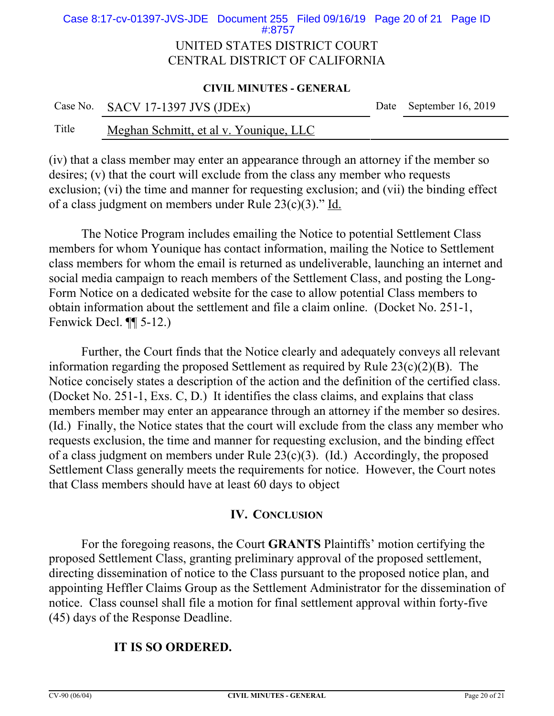## UNITED STATES DISTRICT COURT CENTRAL DISTRICT OF CALIFORNIA Case 8:17-cv-01397-JVS-JDE Document 255 Filed 09/16/19 Page 20 of 21 Page ID #:8757

#### **CIVIL MINUTES - GENERAL**

|       | Case No. SACV 17-1397 JVS (JDEx)       | Date September 16, 2019 |
|-------|----------------------------------------|-------------------------|
| Title | Meghan Schmitt, et al v. Younique, LLC |                         |

(iv) that a class member may enter an appearance through an attorney if the member so desires; (v) that the court will exclude from the class any member who requests exclusion; (vi) the time and manner for requesting exclusion; and (vii) the binding effect of a class judgment on members under Rule 23(c)(3)." Id.

The Notice Program includes emailing the Notice to potential Settlement Class members for whom Younique has contact information, mailing the Notice to Settlement class members for whom the email is returned as undeliverable, launching an internet and social media campaign to reach members of the Settlement Class, and posting the Long-Form Notice on a dedicated website for the case to allow potential Class members to obtain information about the settlement and file a claim online. (Docket No. 251-1, Fenwick Decl. ¶¶ 5-12.)

Further, the Court finds that the Notice clearly and adequately conveys all relevant information regarding the proposed Settlement as required by Rule  $23(c)(2)(B)$ . The Notice concisely states a description of the action and the definition of the certified class. (Docket No. 251-1, Exs. C, D.) It identifies the class claims, and explains that class members member may enter an appearance through an attorney if the member so desires. (Id.) Finally, the Notice states that the court will exclude from the class any member who requests exclusion, the time and manner for requesting exclusion, and the binding effect of a class judgment on members under Rule 23(c)(3). (Id.) Accordingly, the proposed Settlement Class generally meets the requirements for notice. However, the Court notes that Class members should have at least 60 days to object

## **IV. CONCLUSION**

For the foregoing reasons, the Court **GRANTS** Plaintiffs' motion certifying the proposed Settlement Class, granting preliminary approval of the proposed settlement, directing dissemination of notice to the Class pursuant to the proposed notice plan, and appointing Heffler Claims Group as the Settlement Administrator for the dissemination of notice. Class counsel shall file a motion for final settlement approval within forty-five (45) days of the Response Deadline.

## **IT IS SO ORDERED.**